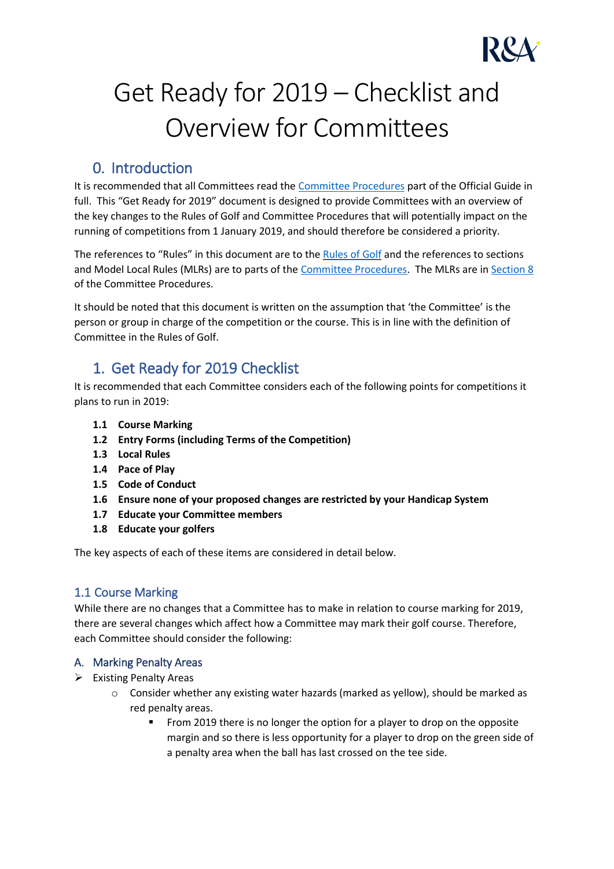

# Get Ready for 2019 – Checklist and Overview for Committees

# 0. Introduction

It is recommended that all Committees read the [Committee Procedures](https://www.randa.org/en/rog/2019/pages/committee-procedures) part of the Official Guide in full. This "Get Ready for 2019" document is designed to provide Committees with an overview of the key changes to the Rules of Golf and Committee Procedures that will potentially impact on the running of competitions from 1 January 2019, and should therefore be considered a priority.

The references to "Rules" in this document are to the [Rules of Golf](https://www.randa.org/en/rog/2019/pages/the-rules-of-golf) and the references to sections and Model Local Rules (MLRs) are to parts of th[e Committee Procedures.](https://www.randa.org/en/rog/2019/pages/committee-procedures) The MLRs are in [Section 8](https://www.randa.org/en/rog/2019/rules/committee-procedures/section-8) of the Committee Procedures.

It should be noted that this document is written on the assumption that 'the Committee' is the person or group in charge of the competition or the course. This is in line with the definition of Committee in the Rules of Golf.

# 1. Get Ready for 2019 Checklist

It is recommended that each Committee considers each of the following points for competitions it plans to run in 2019:

- **1.1 Course Marking**
- **1.2 Entry Forms (including Terms of the Competition)**
- **1.3 Local Rules**
- **1.4 Pace of Play**
- **1.5 Code of Conduct**
- **1.6 Ensure none of your proposed changes are restricted by your Handicap System**
- **1.7 Educate your Committee members**
- **1.8 Educate your golfers**

The key aspects of each of these items are considered in detail below.

# 1.1 Course Marking

While there are no changes that a Committee has to make in relation to course marking for 2019, there are several changes which affect how a Committee may mark their golf course. Therefore, each Committee should consider the following:

# A. Marking Penalty Areas

- ➢ Existing Penalty Areas
	- o Consider whether any existing water hazards (marked as yellow), should be marked as red penalty areas.
		- From 2019 there is no longer the option for a player to drop on the opposite margin and so there is less opportunity for a player to drop on the green side of a penalty area when the ball has last crossed on the tee side.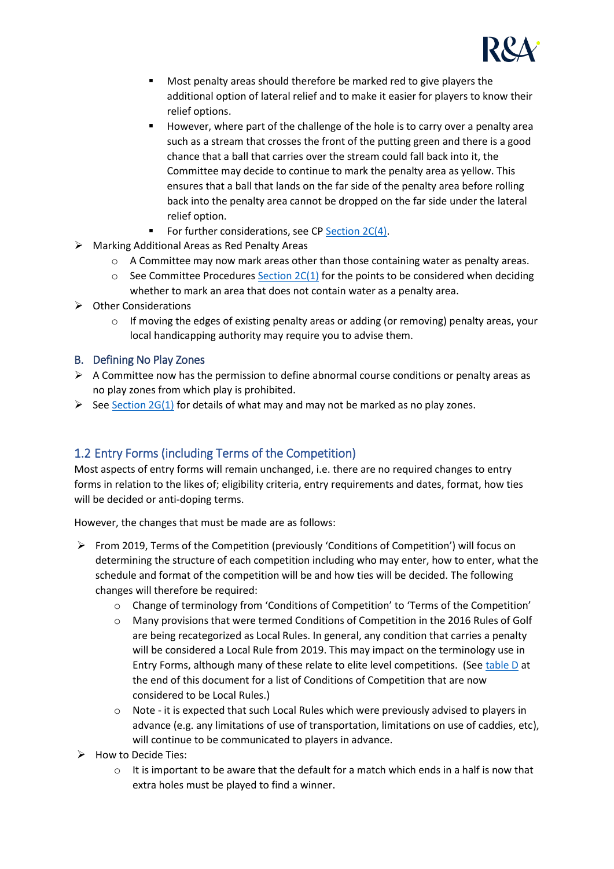

- Most penalty areas should therefore be marked red to give players the additional option of lateral relief and to make it easier for players to know their relief options.
- However, where part of the challenge of the hole is to carry over a penalty area such as a stream that crosses the front of the putting green and there is a good chance that a ball that carries over the stream could fall back into it, the Committee may decide to continue to mark the penalty area as yellow. This ensures that a ball that lands on the far side of the penalty area before rolling back into the penalty area cannot be dropped on the far side under the lateral relief option.
- For further considerations, see CP Section  $2C(4)$ .
- ➢ Marking Additional Areas as Red Penalty Areas
	- $\circ$  A Committee may now mark areas other than those containing water as penalty areas.
	- $\circ$  See Committee Procedures [Section 2C\(1\)](https://www.randa.org/en/rog/2019/rules/committee-procedures/section-2#2c_1) for the points to be considered when deciding whether to mark an area that does not contain water as a penalty area.
- ➢ Other Considerations
	- $\circ$  If moving the edges of existing penalty areas or adding (or removing) penalty areas, your local handicapping authority may require you to advise them.

#### B. Defining No Play Zones

- $\triangleright$  A Committee now has the permission to define abnormal course conditions or penalty areas as no play zones from which play is prohibited.
- $\triangleright$  Se[e Section 2G\(1\)](https://www.randa.org/en/rog/2019/rules/committee-procedures/section-2#2g_1) for details of what may and may not be marked as no play zones.

# 1.2 Entry Forms (including Terms of the Competition)

Most aspects of entry forms will remain unchanged, i.e. there are no required changes to entry forms in relation to the likes of; eligibility criteria, entry requirements and dates, format, how ties will be decided or anti-doping terms.

However, the changes that must be made are as follows:

- ➢ From 2019, Terms of the Competition (previously 'Conditions of Competition') will focus on determining the structure of each competition including who may enter, how to enter, what the schedule and format of the competition will be and how ties will be decided. The following changes will therefore be required:
	- $\circ$  Change of terminology from 'Conditions of Competition' to 'Terms of the Competition'
	- o Many provisions that were termed Conditions of Competition in the 2016 Rules of Golf are being recategorized as Local Rules. In general, any condition that carries a penalty will be considered a Local Rule from 2019. This may impact on the terminology use in Entry Forms, although many of these relate to elite level competitions. (See [table D](#page-6-0) at the end of this document for a list of Conditions of Competition that are now considered to be Local Rules.)
	- o Note it is expected that such Local Rules which were previously advised to players in advance (e.g. any limitations of use of transportation, limitations on use of caddies, etc), will continue to be communicated to players in advance.
- ➢ How to Decide Ties:
	- $\circ$  It is important to be aware that the default for a match which ends in a half is now that extra holes must be played to find a winner.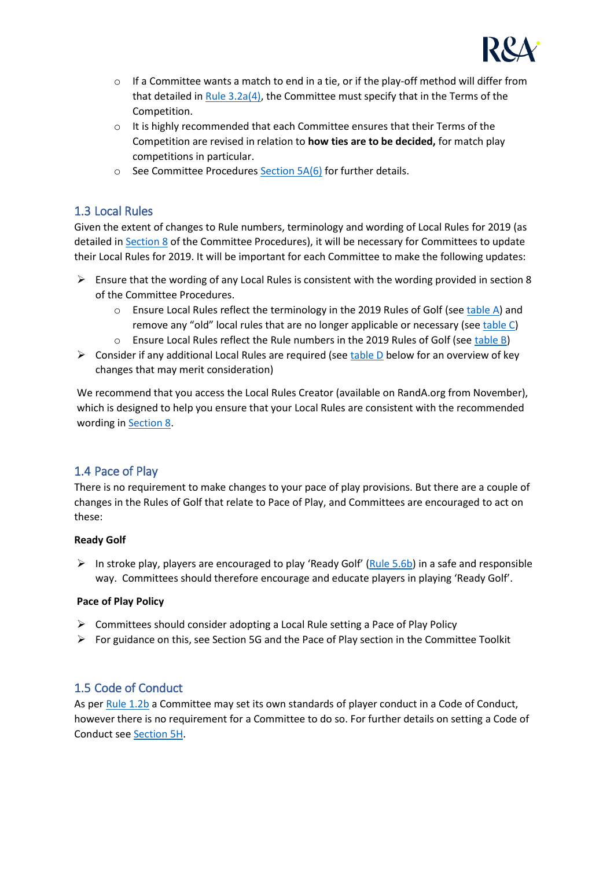

- $\circ$  If a Committee wants a match to end in a tie, or if the play-off method will differ from that detailed in [Rule 3.2a\(4\),](https://www.randa.org/en/rog/2019/rules/the-rules-of-golf/rule-3#3-2a) the Committee must specify that in the Terms of the Competition.
- o It is highly recommended that each Committee ensures that their Terms of the Competition are revised in relation to **how ties are to be decided,** for match play competitions in particular.
- $\circ$  See Committee Procedure[s Section 5A\(6\)](https://www.randa.org/en/rog/2019/rules/committee-procedures/5a#6) for further details.

# 1.3 Local Rules

Given the extent of changes to Rule numbers, terminology and wording of Local Rules for 2019 (as detailed in [Section 8](https://www.randa.org/en/rog/2019/rules/committee-procedures/section-8) of the Committee Procedures), it will be necessary for Committees to update their Local Rules for 2019. It will be important for each Committee to make the following updates:

- $\triangleright$  Ensure that the wording of any Local Rules is consistent with the wording provided in section 8 of the Committee Procedures.
	- $\circ$  Ensure Local Rules reflect the terminology in the 2019 Rules of Golf (se[e table A\)](#page-4-0) and remove any "old" local rules that are no longer applicable or necessary (see [table C\)](#page-4-1)
	- o Ensure Local Rules reflect the Rule numbers in the 2019 Rules of Golf (see [table B\)](#page-4-2)
- $\triangleright$  Consider if any additional Local Rules are required (se[e table D](#page-6-0) below for an overview of key changes that may merit consideration)

We recommend that you access the Local Rules Creator (available on RandA.org from November), which is designed to help you ensure that your Local Rules are consistent with the recommended wording i[n Section 8.](https://www.randa.org/en/rog/2019/rules/committee-procedures/section-8)

# 1.4 Pace of Play

There is no requirement to make changes to your pace of play provisions. But there are a couple of changes in the Rules of Golf that relate to Pace of Play, and Committees are encouraged to act on these:

#### **Ready Golf**

 $\triangleright$  In stroke play, players are encouraged to play 'Ready Golf' ([Rule 5.6b\)](https://www.randa.org/en/rog/2019/rules/the-rules-of-golf/rule-5#5-6b) in a safe and responsible way. Committees should therefore encourage and educate players in playing 'Ready Golf'.

#### **Pace of Play Policy**

- $\triangleright$  Committees should consider adopting a Local Rule setting a Pace of Play Policy
- $\triangleright$  For guidance on this, see Section 5G and the Pace of Play section in the Committee Toolkit

# 1.5 Code of Conduct

As pe[r Rule 1.2b](https://www.randa.org/en/rog/2019/rules/the-rules-of-golf/rule-1#1-2b) a Committee may set its own standards of player conduct in a Code of Conduct, however there is no requirement for a Committee to do so. For further details on setting a Code of Conduct se[e Section 5H.](https://www.randa.org/en/rog/2019/rules/committee-procedures/5h)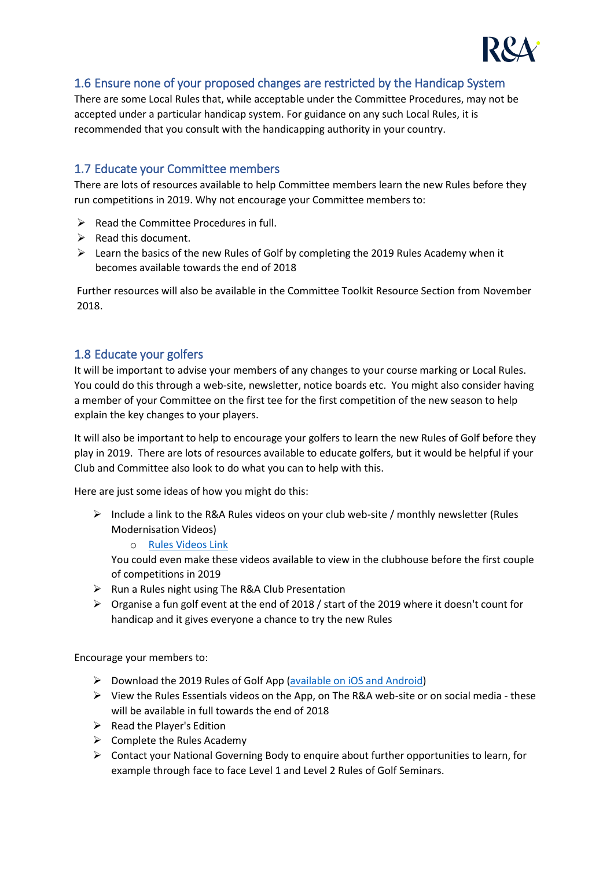

# 1.6 Ensure none of your proposed changes are restricted by the Handicap System

There are some Local Rules that, while acceptable under the Committee Procedures, may not be accepted under a particular handicap system. For guidance on any such Local Rules, it is recommended that you consult with the handicapping authority in your country.

# 1.7 Educate your Committee members

There are lots of resources available to help Committee members learn the new Rules before they run competitions in 2019. Why not encourage your Committee members to:

- $\triangleright$  Read the Committee Procedures in full.
- $\triangleright$  Read this document.
- ➢ Learn the basics of the new Rules of Golf by completing the 2019 Rules Academy when it becomes available towards the end of 2018

Further resources will also be available in the Committee Toolkit Resource Section from November 2018.

# 1.8 Educate your golfers

It will be important to advise your members of any changes to your course marking or Local Rules. You could do this through a web-site, newsletter, notice boards etc. You might also consider having a member of your Committee on the first tee for the first competition of the new season to help explain the key changes to your players.

It will also be important to help to encourage your golfers to learn the new Rules of Golf before they play in 2019. There are lots of resources available to educate golfers, but it would be helpful if your Club and Committee also look to do what you can to help with this.

Here are just some ideas of how you might do this:

- $\triangleright$  Include a link to the R&A Rules videos on your club web-site / monthly newsletter (Rules Modernisation Videos)
	- o [Rules Videos Link](https://www.youtube.com/watch?v=uMls7eioMx8&list=PLPaAMxYPZcI8ptwB7gEE3Fr2en_tgYZYR)

You could even make these videos available to view in the clubhouse before the first couple of competitions in 2019

- ➢ Run a Rules night using The R&A Club Presentation
- $\triangleright$  Organise a fun golf event at the end of 2018 / start of the 2019 where it doesn't count for handicap and it gives everyone a chance to try the new Rules

Encourage your members to:

- ➢ Download the 2019 Rules of Golf App [\(available on iOS and Android\)](https://www.randa.org/Apps)
- $\triangleright$  View the Rules Essentials videos on the App, on The R&A web-site or on social media these will be available in full towards the end of 2018
- $\triangleright$  Read the Player's Edition
- $\triangleright$  Complete the Rules Academy
- ➢ Contact your National Governing Body to enquire about further opportunities to learn, for example through face to face Level 1 and Level 2 Rules of Golf Seminars.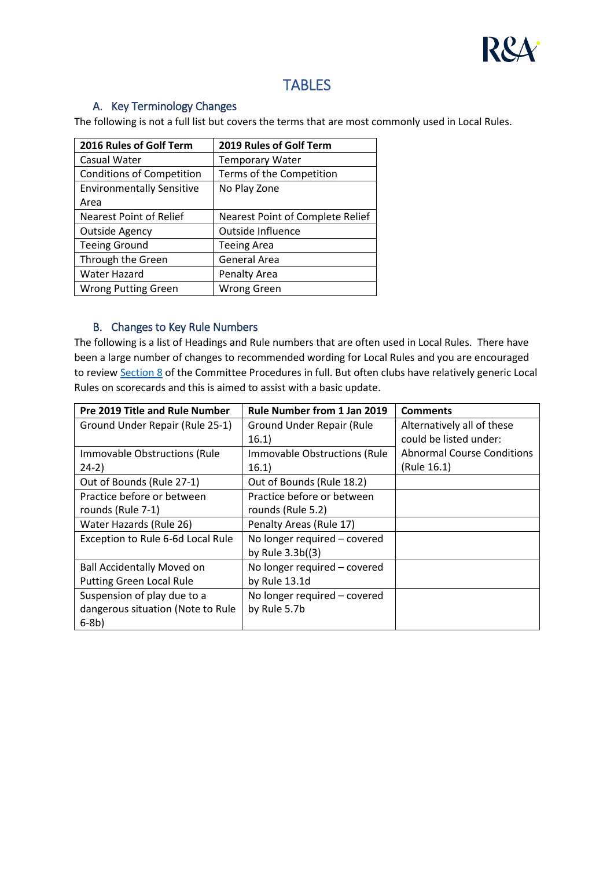

# **TABLES**

#### <span id="page-4-1"></span>A. Key Terminology Changes

<span id="page-4-0"></span>The following is not a full list but covers the terms that are most commonly used in Local Rules.

| 2016 Rules of Golf Term          | 2019 Rules of Golf Term                 |
|----------------------------------|-----------------------------------------|
| Casual Water                     | <b>Temporary Water</b>                  |
| <b>Conditions of Competition</b> | Terms of the Competition                |
| <b>Environmentally Sensitive</b> | No Play Zone                            |
| Area                             |                                         |
| <b>Nearest Point of Relief</b>   | <b>Nearest Point of Complete Relief</b> |
| <b>Outside Agency</b>            | Outside Influence                       |
| <b>Teeing Ground</b>             | <b>Teeing Area</b>                      |
| Through the Green                | <b>General Area</b>                     |
| Water Hazard                     | <b>Penalty Area</b>                     |
| <b>Wrong Putting Green</b>       | <b>Wrong Green</b>                      |

#### B. Changes to Key Rule Numbers

<span id="page-4-2"></span>The following is a list of Headings and Rule numbers that are often used in Local Rules. There have been a large number of changes to recommended wording for Local Rules and you are encouraged to revie[w Section 8](https://www.randa.org/en/rog/2019/rules/committee-procedures/section-8) of the Committee Procedures in full. But often clubs have relatively generic Local Rules on scorecards and this is aimed to assist with a basic update.

| <b>Pre 2019 Title and Rule Number</b> | Rule Number from 1 Jan 2019   | <b>Comments</b>                   |
|---------------------------------------|-------------------------------|-----------------------------------|
| Ground Under Repair (Rule 25-1)       | Ground Under Repair (Rule     | Alternatively all of these        |
|                                       | 16.1)                         | could be listed under:            |
| Immovable Obstructions (Rule          | Immovable Obstructions (Rule) | <b>Abnormal Course Conditions</b> |
| $24-2)$                               | 16.1)                         | (Rule 16.1)                       |
| Out of Bounds (Rule 27-1)             | Out of Bounds (Rule 18.2)     |                                   |
| Practice before or between            | Practice before or between    |                                   |
| rounds (Rule 7-1)                     | rounds (Rule 5.2)             |                                   |
| Water Hazards (Rule 26)               | Penalty Areas (Rule 17)       |                                   |
| Exception to Rule 6-6d Local Rule     | No longer required - covered  |                                   |
|                                       | by Rule $3.3b(3)$             |                                   |
| <b>Ball Accidentally Moved on</b>     | No longer required - covered  |                                   |
| <b>Putting Green Local Rule</b>       | by Rule 13.1d                 |                                   |
| Suspension of play due to a           | No longer required - covered  |                                   |
| dangerous situation (Note to Rule     | by Rule 5.7b                  |                                   |
| $6-8b)$                               |                               |                                   |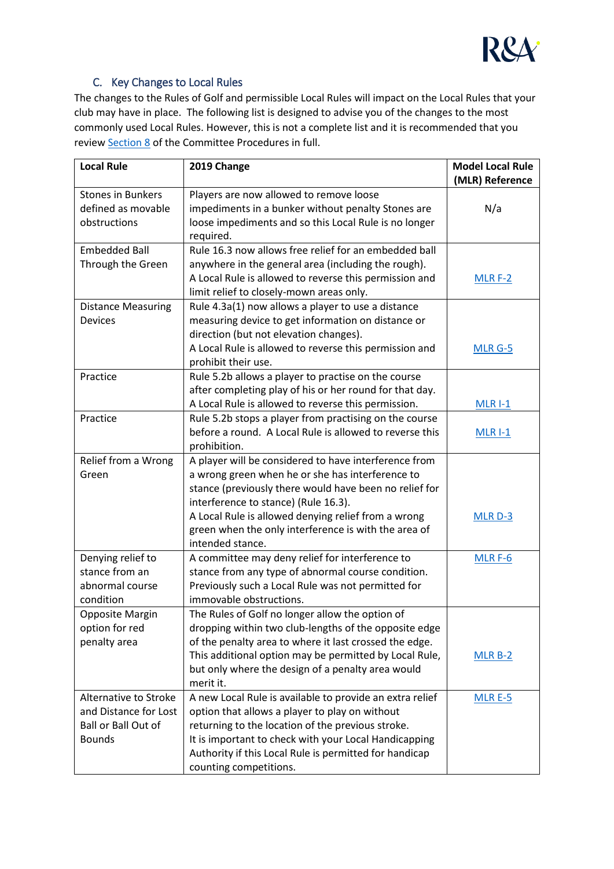

# C. Key Changes to Local Rules

The changes to the Rules of Golf and permissible Local Rules will impact on the Local Rules that your club may have in place. The following list is designed to advise you of the changes to the most commonly used Local Rules. However, this is not a complete list and it is recommended that you revie[w Section 8](https://www.randa.org/en/rog/2019/rules/committee-procedures/section-8) of the Committee Procedures in full.

| <b>Local Rule</b>         | 2019 Change                                                        | <b>Model Local Rule</b> |
|---------------------------|--------------------------------------------------------------------|-------------------------|
| <b>Stones in Bunkers</b>  |                                                                    | (MLR) Reference         |
| defined as movable        | Players are now allowed to remove loose                            |                         |
|                           | impediments in a bunker without penalty Stones are                 | N/a                     |
| obstructions              | loose impediments and so this Local Rule is no longer<br>required. |                         |
| <b>Embedded Ball</b>      | Rule 16.3 now allows free relief for an embedded ball              |                         |
| Through the Green         | anywhere in the general area (including the rough).                |                         |
|                           | A Local Rule is allowed to reverse this permission and             | $MLR F-2$               |
|                           | limit relief to closely-mown areas only.                           |                         |
|                           | Rule 4.3a(1) now allows a player to use a distance                 |                         |
| <b>Distance Measuring</b> |                                                                    |                         |
| <b>Devices</b>            | measuring device to get information on distance or                 |                         |
|                           | direction (but not elevation changes).                             |                         |
|                           | A Local Rule is allowed to reverse this permission and             | MLR G-5                 |
|                           | prohibit their use.                                                |                         |
| Practice                  | Rule 5.2b allows a player to practise on the course                |                         |
|                           | after completing play of his or her round for that day.            |                         |
|                           | A Local Rule is allowed to reverse this permission.                | <b>MLR I-1</b>          |
| Practice                  | Rule 5.2b stops a player from practising on the course             |                         |
|                           | before a round. A Local Rule is allowed to reverse this            | $MLR$ $-1$              |
|                           | prohibition.                                                       |                         |
| Relief from a Wrong       | A player will be considered to have interference from              |                         |
| Green                     | a wrong green when he or she has interference to                   |                         |
|                           | stance (previously there would have been no relief for             |                         |
|                           | interference to stance) (Rule 16.3).                               |                         |
|                           | A Local Rule is allowed denying relief from a wrong                | MLR D-3                 |
|                           | green when the only interference is with the area of               |                         |
|                           | intended stance.                                                   |                         |
| Denying relief to         | A committee may deny relief for interference to                    | MLR F-6                 |
| stance from an            | stance from any type of abnormal course condition.                 |                         |
| abnormal course           | Previously such a Local Rule was not permitted for                 |                         |
| condition                 | immovable obstructions.                                            |                         |
| Opposite Margin           | The Rules of Golf no longer allow the option of                    |                         |
| option for red            | dropping within two club-lengths of the opposite edge              |                         |
| penalty area              | of the penalty area to where it last crossed the edge.             |                         |
|                           | This additional option may be permitted by Local Rule,             | $MLR B-2$               |
|                           | but only where the design of a penalty area would                  |                         |
|                           | merit it.                                                          |                         |
| Alternative to Stroke     | A new Local Rule is available to provide an extra relief           | $MLR E-5$               |
| and Distance for Lost     | option that allows a player to play on without                     |                         |
| Ball or Ball Out of       | returning to the location of the previous stroke.                  |                         |
| <b>Bounds</b>             | It is important to check with your Local Handicapping              |                         |
|                           | Authority if this Local Rule is permitted for handicap             |                         |
|                           | counting competitions.                                             |                         |